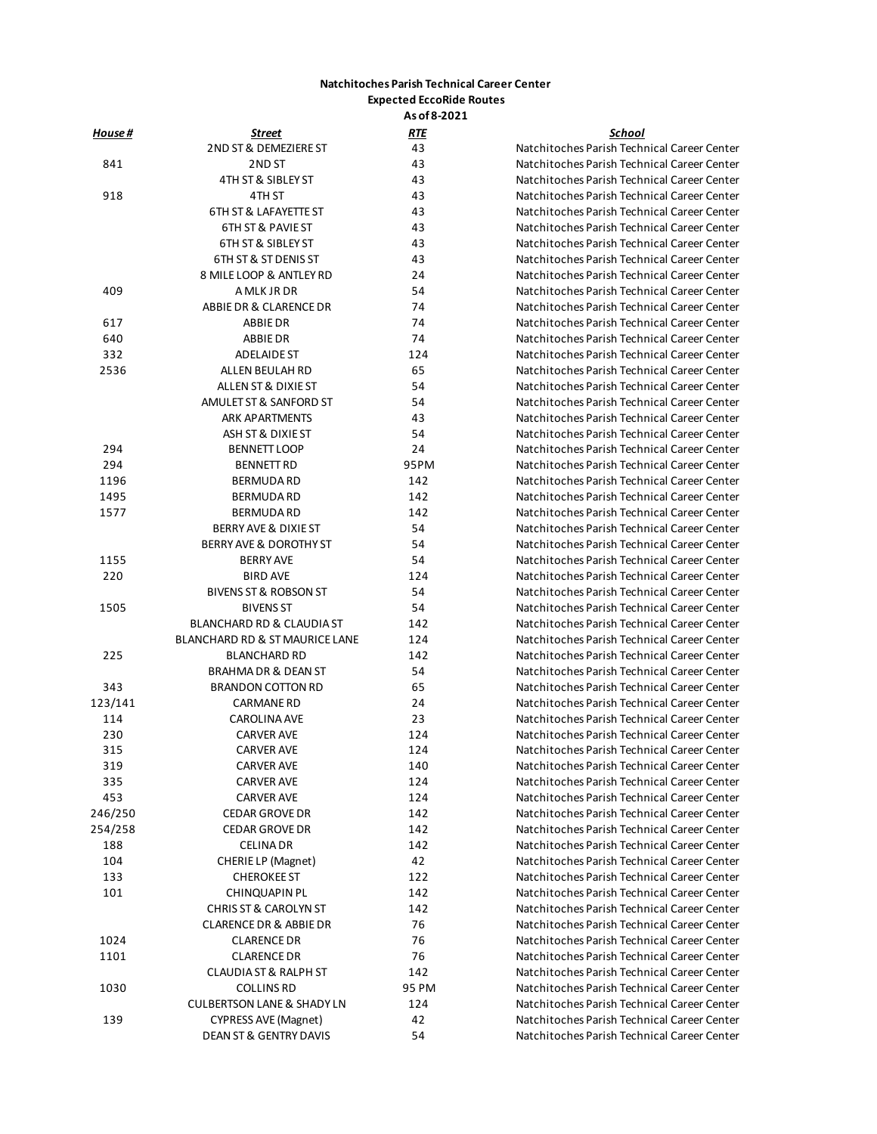## **Natchitoches Parish Technical Career Center Expected EccoRide Routes**

**As of 8-2021**

| <u>House #</u> | Street                                            | <u>RTE</u> | <b>School</b>            |
|----------------|---------------------------------------------------|------------|--------------------------|
|                | 2ND ST & DEMEZIERE ST                             | 43         | Natchitoches Parish Tech |
| 841            | 2ND ST                                            | 43         | Natchitoches Parish Tech |
|                | 4TH ST & SIBLEY ST                                | 43         | Natchitoches Parish Tech |
| 918            | 4TH ST                                            | 43         | Natchitoches Parish Tech |
|                | <b>6TH ST &amp; LAFAYETTE ST</b>                  | 43         | Natchitoches Parish Tech |
|                | 6TH ST & PAVIE ST                                 | 43         | Natchitoches Parish Tech |
|                | 6TH ST & SIBLEY ST                                | 43         | Natchitoches Parish Tech |
|                | 6TH ST & ST DENIS ST                              | 43         | Natchitoches Parish Tech |
|                | 8 MILE LOOP & ANTLEY RD                           | 24         | Natchitoches Parish Tech |
| 409            | A MLK JR DR                                       | 54         | Natchitoches Parish Tech |
|                | ABBIE DR & CLARENCE DR                            | 74         | Natchitoches Parish Tech |
| 617            | ABBIE DR                                          | 74         | Natchitoches Parish Tech |
| 640            | ABBIE DR                                          | 74         | Natchitoches Parish Tech |
| 332            | ADELAIDE ST                                       | 124        | Natchitoches Parish Tech |
| 2536           | ALLEN BEULAH RD                                   | 65         | Natchitoches Parish Tech |
|                | ALLEN ST & DIXIE ST                               | 54         | Natchitoches Parish Tech |
|                | AMULET ST & SANFORD ST                            | 54         | Natchitoches Parish Tech |
|                | <b>ARK APARTMENTS</b>                             | 43         | Natchitoches Parish Tech |
|                | ASH ST & DIXIE ST                                 |            |                          |
|                |                                                   | 54         | Natchitoches Parish Tech |
| 294            | <b>BENNETT LOOP</b>                               | 24         | Natchitoches Parish Tech |
| 294            | <b>BENNETT RD</b>                                 | 95PM       | Natchitoches Parish Tech |
| 1196           | <b>BERMUDA RD</b>                                 | 142        | Natchitoches Parish Tech |
| 1495           | <b>BERMUDA RD</b>                                 | 142        | Natchitoches Parish Tech |
| 1577           | <b>BERMUDARD</b>                                  | 142        | Natchitoches Parish Tech |
|                | BERRY AVE & DIXIE ST                              | 54         | Natchitoches Parish Tech |
|                | <b>BERRY AVE &amp; DOROTHY ST</b>                 | 54         | Natchitoches Parish Tech |
| 1155           | <b>BERRY AVE</b>                                  | 54         | Natchitoches Parish Tech |
| 220            | <b>BIRD AVE</b>                                   | 124        | Natchitoches Parish Tech |
|                | BIVENS ST & ROBSON ST                             | 54         | Natchitoches Parish Tech |
| 1505           | <b>BIVENS ST</b>                                  | 54         | Natchitoches Parish Tech |
|                | BLANCHARD RD & CLAUDIA ST                         | 142        | Natchitoches Parish Tech |
|                | BLANCHARD RD & ST MAURICE LANE                    | 124        | Natchitoches Parish Tech |
| 225            | <b>BLANCHARD RD</b>                               | 142        | Natchitoches Parish Tech |
|                | <b>BRAHMA DR &amp; DEAN ST</b>                    | 54         | Natchitoches Parish Tech |
| 343            | <b>BRANDON COTTON RD</b>                          | 65         | Natchitoches Parish Tech |
| 123/141        | <b>CARMANE RD</b>                                 | 24         | Natchitoches Parish Tech |
| 114            | <b>CAROLINA AVE</b>                               | 23         | Natchitoches Parish Tech |
| 230            | <b>CARVER AVE</b>                                 | 124        | Natchitoches Parish Tech |
| 315            | <b>CARVER AVE</b>                                 | 124        | Natchitoches Parish Tech |
| 319            | <b>CARVER AVE</b>                                 | 140        | Natchitoches Parish Tech |
| 335            | <b>CARVER AVE</b>                                 | 124        | Natchitoches Parish Tech |
| 453            | <b>CARVER AVE</b>                                 | 124        | Natchitoches Parish Tech |
| 246/250        | <b>CEDAR GROVE DR</b>                             | 142        | Natchitoches Parish Tech |
| 254/258        | <b>CEDAR GROVE DR</b>                             | 142        | Natchitoches Parish Tech |
| 188            | <b>CELINA DR</b>                                  | 142        | Natchitoches Parish Tech |
| 104            | CHERIE LP (Magnet)                                | 42         | Natchitoches Parish Tech |
| 133            | <b>CHEROKEE ST</b>                                | 122        | Natchitoches Parish Tech |
|                |                                                   |            |                          |
| 101            | CHINQUAPIN PL<br><b>CHRIS ST &amp; CAROLYN ST</b> | 142        | Natchitoches Parish Tech |
|                |                                                   | 142        | Natchitoches Parish Tech |
|                | <b>CLARENCE DR &amp; ABBIE DR</b>                 | 76         | Natchitoches Parish Tech |
| 1024           | <b>CLARENCE DR</b>                                | 76         | Natchitoches Parish Tech |
| 1101           | <b>CLARENCE DR</b>                                | 76         | Natchitoches Parish Tech |
|                | <b>CLAUDIA ST &amp; RALPH ST</b>                  | 142        | Natchitoches Parish Tech |
| 1030           | <b>COLLINS RD</b>                                 | 95 PM      | Natchitoches Parish Tech |
|                | <b>CULBERTSON LANE &amp; SHADY LN</b>             | 124        | Natchitoches Parish Tech |
| 139            | <b>CYPRESS AVE (Magnet)</b>                       | 42         | Natchitoches Parish Tech |
|                | <b>DEAN ST &amp; GENTRY DAVIS</b>                 | 54         | Natchitoches Parish Tech |

Natchitoches Parish Technical Career Center Natchitoches Parish Technical Career Center Natchitoches Parish Technical Career Center Natchitoches Parish Technical Career Center Natchitoches Parish Technical Career Center Natchitoches Parish Technical Career Center Natchitoches Parish Technical Career Center Natchitoches Parish Technical Career Center Natchitoches Parish Technical Career Center Natchitoches Parish Technical Career Center Natchitoches Parish Technical Career Center Natchitoches Parish Technical Career Center Natchitoches Parish Technical Career Center Natchitoches Parish Technical Career Center Natchitoches Parish Technical Career Center Natchitoches Parish Technical Career Center Natchitoches Parish Technical Career Center Natchitoches Parish Technical Career Center Natchitoches Parish Technical Career Center Natchitoches Parish Technical Career Center Natchitoches Parish Technical Career Center Natchitoches Parish Technical Career Center Natchitoches Parish Technical Career Center Natchitoches Parish Technical Career Center Natchitoches Parish Technical Career Center Natchitoches Parish Technical Career Center Natchitoches Parish Technical Career Center Natchitoches Parish Technical Career Center Natchitoches Parish Technical Career Center Natchitoches Parish Technical Career Center Natchitoches Parish Technical Career Center Natchitoches Parish Technical Career Center Natchitoches Parish Technical Career Center Natchitoches Parish Technical Career Center Natchitoches Parish Technical Career Center Natchitoches Parish Technical Career Center Natchitoches Parish Technical Career Center Natchitoches Parish Technical Career Center Natchitoches Parish Technical Career Center Natchitoches Parish Technical Career Center Natchitoches Parish Technical Career Center Natchitoches Parish Technical Career Center Natchitoches Parish Technical Career Center Natchitoches Parish Technical Career Center Natchitoches Parish Technical Career Center Natchitoches Parish Technical Career Center Natchitoches Parish Technical Career Center Natchitoches Parish Technical Career Center Natchitoches Parish Technical Career Center Natchitoches Parish Technical Career Center Natchitoches Parish Technical Career Center Natchitoches Parish Technical Career Center Natchitoches Parish Technical Career Center Natchitoches Parish Technical Career Center Natchitoches Parish Technical Career Center Natchitoches Parish Technical Career Center Natchitoches Parish Technical Career Center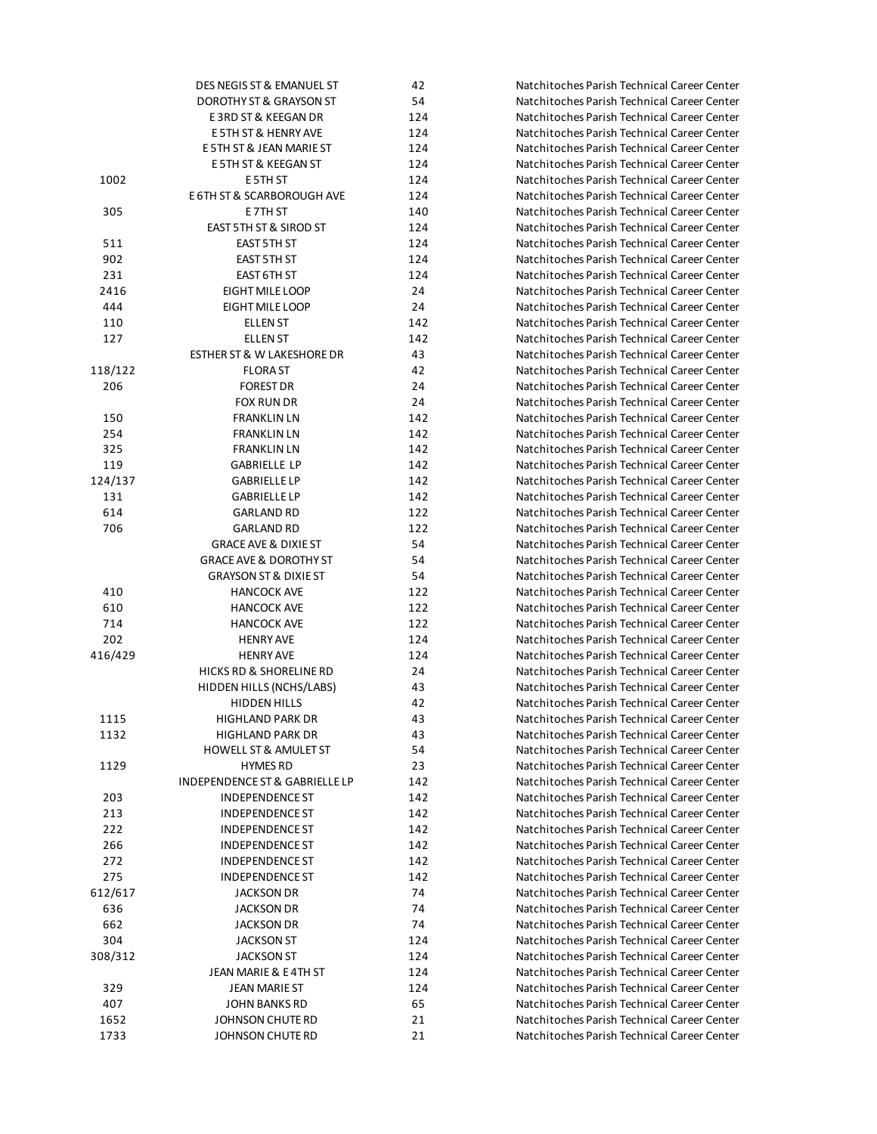|         | DES NEGIS ST & EMANUEL ST             | 42             |
|---------|---------------------------------------|----------------|
|         | DOROTHY ST & GRAYSON ST               | 54             |
|         | E3RD ST & KEEGAN DR                   | 12             |
|         | E 5TH ST & HENRY AVE                  | 12             |
|         | E 5TH ST & JEAN MARIE ST              | 12             |
|         | E 5TH ST & KEEGAN ST                  | 12             |
| 1002    | E 5TH ST                              | 12             |
|         | E 6TH ST & SCARBOROUGH AVE            | 12             |
| 305     | E 7TH ST                              | 14             |
|         | <b>EAST 5TH ST &amp; SIROD ST</b>     | 12             |
| 511     | EAST 5TH ST                           | 12             |
| 902     | <b>EAST 5TH ST</b>                    | 12             |
| 231     | EAST 6TH ST                           | 12             |
| 2416    | EIGHT MILE LOOP                       | 2 <sup>2</sup> |
| 444     | EIGHT MILE LOOP                       | 2 <sub>4</sub> |
|         |                                       |                |
| 110     | <b>ELLEN ST</b>                       | 14             |
| 127     | <b>ELLEN ST</b>                       | 14             |
|         | <b>ESTHER ST &amp; W LAKESHORE DR</b> | 43             |
| 118/122 | <b>FLORAST</b>                        | 42             |
| 206     | <b>FOREST DR</b>                      | 2 <sub>4</sub> |
|         | FOX RUN DR                            | 2 <sub>4</sub> |
| 150     | <b>FRANKLIN LN</b>                    | 14             |
| 254     | <b>FRANKLIN LN</b>                    | 14             |
| 325     | <b>FRANKLIN LN</b>                    | 14             |
| 119     | <b>GABRIELLE LP</b>                   | 14             |
| 124/137 | <b>GABRIELLE LP</b>                   | 14             |
| 131     | <b>GABRIELLE LP</b>                   | 14             |
| 614     | <b>GARLAND RD</b>                     | 12             |
| 706     | <b>GARLAND RD</b>                     | 12             |
|         | <b>GRACE AVE &amp; DIXIE ST</b>       | 54             |
|         | <b>GRACE AVE &amp; DOROTHY ST</b>     | 54             |
|         | <b>GRAYSON ST &amp; DIXIE ST</b>      | 54             |
| 410     | <b>HANCOCK AVE</b>                    | 12             |
| 610     | <b>HANCOCK AVE</b>                    | 12             |
| 714     | <b>HANCOCK AVE</b>                    | 12             |
| 202     | <b>HENRY AVE</b>                      | 12             |
| 416/429 | <b>HENRY AVE</b>                      | 12             |
|         | HICKS RD & SHORELINE RD               | 2 <sub>4</sub> |
|         | HIDDEN HILLS (NCHS/LABS)              | 43             |
|         | <b>HIDDEN HILLS</b>                   | 42             |
|         | <b>HIGHLAND PARK DR</b>               |                |
| 1115    |                                       | 4 <sup>3</sup> |
| 1132    | <b>HIGHLAND PARK DR</b>               | 43             |
|         | <b>HOWELL ST &amp; AMULET ST</b>      | 54             |
| 1129    | <b>HYMES RD</b>                       | 23             |
|         | INDEPENDENCE ST & GABRIELLE LP        | 14             |
| 203     | <b>INDEPENDENCE ST</b>                | 14             |
| 213     | <b>INDEPENDENCE ST</b>                | 14             |
| 222     | <b>INDEPENDENCE ST</b>                | 14             |
| 266     | <b>INDEPENDENCE ST</b>                | 14             |
| 272     | <b>INDEPENDENCE ST</b>                | 14             |
| 275     | <b>INDEPENDENCE ST</b>                | 14             |
| 612/617 | <b>JACKSON DR</b>                     | 74             |
| 636     | <b>JACKSON DR</b>                     | 74             |
| 662     | <b>JACKSON DR</b>                     | 74             |
| 304     | <b>JACKSON ST</b>                     | 12             |
| 308/312 | <b>JACKSON ST</b>                     | 12             |
|         | JEAN MARIE & E4TH ST                  | 12             |
| 329     | JEAN MARIE ST                         | 12             |
| 407     | JOHN BANKS RD                         | 65             |
| 1652    | JOHNSON CHUTE RD                      | 21             |
| 1733    | JOHNSON CHUTE RD                      | 21             |
|         |                                       |                |

Natchitoches Parish Technical Career Center **DOROG NATCHITOCHES Parish Technical Career Center 3RD ST 3RD ST 3RD ST 3RD ST 3RD ST 3RD ST 3RD ST 3RD ST 3RD ST 3RD 48 NATCH** E 5TH ST & HENRY AVE 124 Natchitoches Parish Technical Career Center **External Marchitoches Parish Technical Career Center** E 5TH ST & KEEGAN ST 124 Natchitoches Parish Technical Career Center **1002 Natchitoches Parish Technical Career Center Example 3Th St Ave 124 Natchitoches Parish Technical Career Center 305 Natchitoches Parish Technical Career Center EAST 5TH ST 125TH ST 124 Natchitoches Parish Technical Career Center State 5 Natchitoches Parish Technical Career Center BEACT 5TH ST 125 Natchitoches Parish Technical Career Center Natchitoches Parish Technical Career Center 2216 Natchitoches Parish Technical Career Center Auchitoches Parish Technical Career Center India Studies Natchitoches Parish Technical Career Center ILLEN ST 142 IN** Natchitoches Parish Technical Career Center Extempt 23 Natchitoches Parish Technical Career Center Natchitoches Parish Technical Career Center Natchitoches Parish Technical Career Center FOX RUN DR 24 Natchitoches Parish Technical Career Center 150 FRANKLIN 12 **FRANKLIN 142 FRANKLIN 142 Natchitoches Parish Technical Career Center Natchitoches Parish Technical Career Center State Natchitoches Parish Technical Career Center Gabriel Natchitoches Parish Technical Career Center Matchitoches Parish Technical Career Center Gabriel Natchitoches Parish Technical Career Center Carlana Barland Robert Robert Center** Ratchitoches Parish Technical Career Center 2 Natchitoches Parish Technical Career Center **GRACE AVE ST 54 Natchitoches Parish Technical Career Center GRACE AVE AVE AVE AVE AVE AVE AVE** Avec Natchitoches Parish Technical Career Center **GRAYSON ST 54 Natchitoches Parish Technical Career Center** 2 Natchitoches Parish Technical Career Center 2 Natchitoches Parish Technical Career Center 2 Natchitoches Parish Technical Career Center 4 Natchitoches Parish Technical Career Center 416/429 HENRY AVE 124 Natchitoches Parish Technical Career Center **Industrial Report Reset Report Reset Contract Reset Contract Reset Center** Reset Reset Reset Reset Reset Reset R B<sub>2</sub> Natchitoches Parish Technical Career Center Natchitoches Parish Technical Career Center **1115 Matchitoches Parish Technical Career Center 122 International Parish Technical Career Center ALULET ST 54 Natchitoches Parish Technical Career Center 129 ISL 23 Natchitoches Parish Technical Career Center** 2 Natchitoches Parish Technical Career Center **Independence State State State State State State State State State State State State State State State State State State State State State State State State State State State State State State State State State State St** 2 Independence State State State State State State State State State State State State State State State State S **Independence State State State State State State State State State State State State State State State State State State State State State State State State State State State State State State State State State State St** 266 INDEPENDENCE ST 142 Natchitoches Parish Technical Career Center 2 Independence State State State State State State State State State State State State State State State State S **Independence State State State State State State State State State State State State State State State State State State State State State State State State State State State State State State State State State State St 1201** Natchitoches Parish Technical Career Center **State Natchitoches Parish Technical Career Center 662 IBC Natchitoches Parish Technical Career Center 304 Natchitoches Parish Technical Career Center** 4 308 Natchitoches Parish Technical Career Center **State Marchitoches Parish Technical Career Center**  JEAN MARIE ST 124 Natchitoches Parish Technical Career Center Natchitoches Parish Technical Career Center Natchitoches Parish Technical Career Center Natchitoches Parish Technical Career Center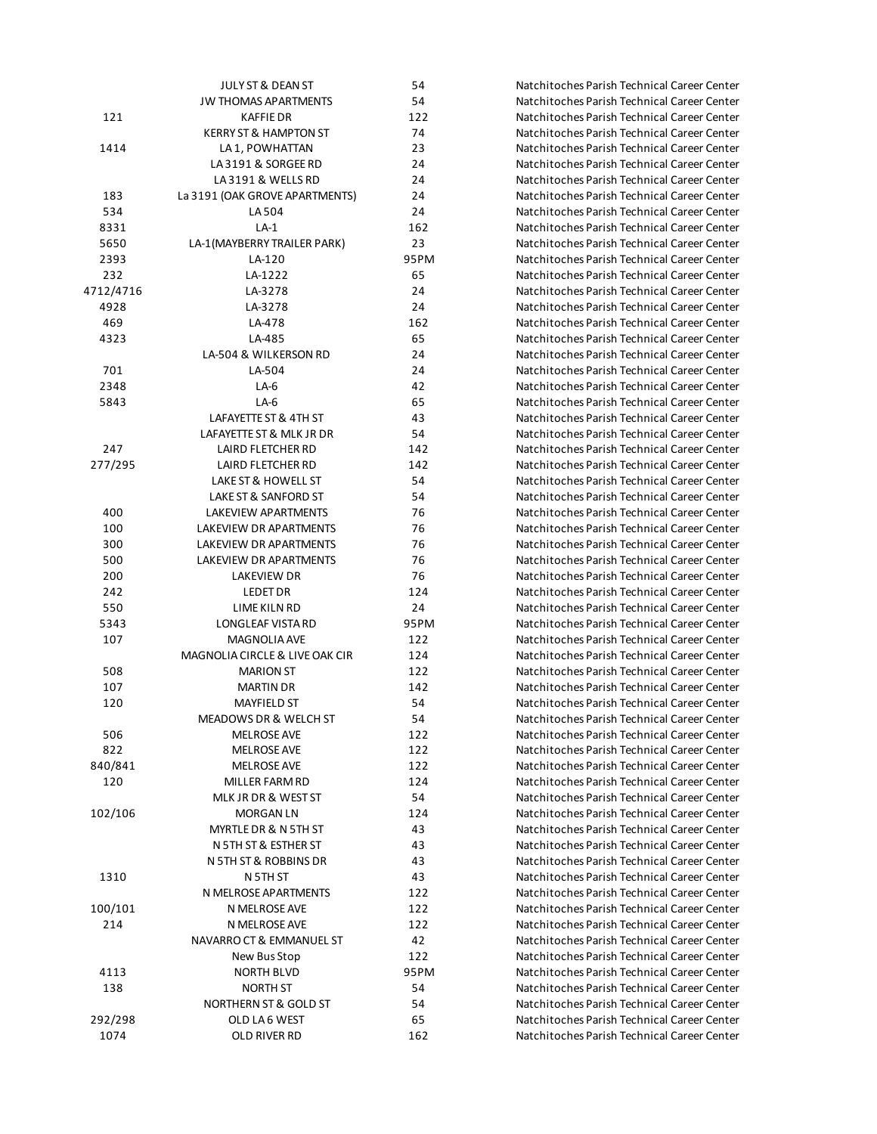|           | JULY ST & DEAN ST              | 54   |  |
|-----------|--------------------------------|------|--|
|           | <b>JW THOMAS APARTMENTS</b>    | 54   |  |
| 121       | <b>KAFFIE DR</b>               | 122  |  |
|           | KERRY ST & HAMPTON ST          | 74   |  |
| 1414      | LA 1, POWHATTAN                | 23   |  |
|           | LA3191 & SORGEE RD             | 24   |  |
|           | LA3191 & WELLS RD              | 24   |  |
| 183       | La 3191 (OAK GROVE APARTMENTS) | 24   |  |
| 534       | LA 504                         | 24   |  |
| 8331      | $LA-1$                         | 162  |  |
| 5650      | LA-1(MAYBERRY TRAILER PARK)    | 23   |  |
| 2393      | LA-120                         | 95PM |  |
| 232       | LA-1222                        | 65   |  |
| 4712/4716 | LA-3278                        | 24   |  |
| 4928      | LA-3278                        | 24   |  |
| 469       | LA-478                         | 162  |  |
| 4323      | LA-485                         | 65   |  |
|           | LA-504 & WILKERSON RD          | 24   |  |
|           |                                | 24   |  |
| 701       | LA-504                         |      |  |
| 2348      | LA-6                           | 42   |  |
| 5843      | $LA-6$                         | 65   |  |
|           | LAFAYETTE ST & 4TH ST          | 43   |  |
|           | LAFAYETTE ST & MLK JR DR       | 54   |  |
| 247       | <b>LAIRD FLETCHER RD</b>       | 142  |  |
| 277/295   | LAIRD FLETCHER RD              | 142  |  |
|           | LAKE ST & HOWELL ST            | 54   |  |
|           | LAKE ST & SANFORD ST           | 54   |  |
| 400       | LAKEVIEW APARTMENTS            | 76   |  |
| 100       | LAKEVIEW DR APARTMENTS         | 76   |  |
| 300       | LAKEVIEW DR APARTMENTS         | 76   |  |
| 500       | LAKEVIEW DR APARTMENTS         | 76   |  |
| 200       | LAKEVIEW DR                    | 76   |  |
| 242       | LEDET DR                       | 124  |  |
| 550       | LIME KILN RD                   | 24   |  |
| 5343      | LONGLEAF VISTA RD              | 95PM |  |
| 107       | <b>MAGNOLIA AVE</b>            | 122  |  |
|           | MAGNOLIA CIRCLE & LIVE OAK CIR | 124  |  |
| 508       | <b>MARION ST</b>               | 122  |  |
| 107       | <b>MARTIN DR</b>               | 142  |  |
| 120       | <b>MAYFIELD ST</b>             | 54   |  |
|           | MEADOWS DR & WELCH ST          | 54   |  |
| 506       | <b>MELROSE AVE</b>             | 122  |  |
| 822       | <b>MELROSE AVE</b>             | 122  |  |
| 840/841   | <b>MELROSE AVE</b>             | 122  |  |
| 120       | MILLER FARM RD                 | 124  |  |
|           | MLK JR DR & WEST ST            | 54   |  |
| 102/106   | MORGAN LN                      | 124  |  |
|           | MYRTLE DR & N 5TH ST           | 43   |  |
|           | N 5TH ST & ESTHER ST           | 43   |  |
|           | N 5TH ST & ROBBINS DR          | 43   |  |
| 1310      | N 5TH ST                       | 43   |  |
|           | N MELROSE APARTMENTS           | 122  |  |
| 100/101   | N MELROSE AVE                  | 122  |  |
| 214       | N MELROSE AVE                  | 122  |  |
|           | NAVARRO CT & EMMANUEL ST       | 42   |  |
|           | New Bus Stop                   | 122  |  |
| 4113      | <b>NORTH BLVD</b>              | 95PM |  |
| 138       | NORTH ST                       | 54   |  |
|           | NORTHERN ST & GOLD ST          | 54   |  |
| 292/298   | OLD LA 6 WEST                  | 65   |  |
| 1074      |                                | 162  |  |
|           | OLD RIVER RD                   |      |  |

Natchitoches Parish Technical Career Center Natchitoches Parish Technical Career Center Natchitoches Parish Technical Career Center Natchitoches Parish Technical Career Center Natchitoches Parish Technical Career Center Natchitoches Parish Technical Career Center Natchitoches Parish Technical Career Center Natchitoches Parish Technical Career Center Natchitoches Parish Technical Career Center Natchitoches Parish Technical Career Center Natchitoches Parish Technical Career Center Natchitoches Parish Technical Career Center Natchitoches Parish Technical Career Center Natchitoches Parish Technical Career Center Natchitoches Parish Technical Career Center 469 LA-478 162 Natchitoches Parish Technical Career Center Natchitoches Parish Technical Career Center Natchitoches Parish Technical Career Center Natchitoches Parish Technical Career Center Natchitoches Parish Technical Career Center 5843 LA-6 65 Natchitoches Parish Technical Career Center Natchitoches Parish Technical Career Center Natchitoches Parish Technical Career Center Natchitoches Parish Technical Career Center Natchitoches Parish Technical Career Center Natchitoches Parish Technical Career Center Natchitoches Parish Technical Career Center Natchitoches Parish Technical Career Center Natchitoches Parish Technical Career Center Natchitoches Parish Technical Career Center Natchitoches Parish Technical Career Center Natchitoches Parish Technical Career Center Natchitoches Parish Technical Career Center Natchitoches Parish Technical Career Center Natchitoches Parish Technical Career Center Natchitoches Parish Technical Career Center Natchitoches Parish Technical Career Center Natchitoches Parish Technical Career Center Natchitoches Parish Technical Career Center Natchitoches Parish Technical Career Center Natchitoches Parish Technical Career Center Natchitoches Parish Technical Career Center Natchitoches Parish Technical Career Center Natchitoches Parish Technical Career Center Natchitoches Parish Technical Career Center Natchitoches Parish Technical Career Center Natchitoches Parish Technical Career Center Natchitoches Parish Technical Career Center Natchitoches Parish Technical Career Center Natchitoches Parish Technical Career Center Natchitoches Parish Technical Career Center Natchitoches Parish Technical Career Center Natchitoches Parish Technical Career Center Natchitoches Parish Technical Career Center Natchitoches Parish Technical Career Center Natchitoches Parish Technical Career Center Natchitoches Parish Technical Career Center Natchitoches Parish Technical Career Center Natchitoches Parish Technical Career Center Natchitoches Parish Technical Career Center Natchitoches Parish Technical Career Center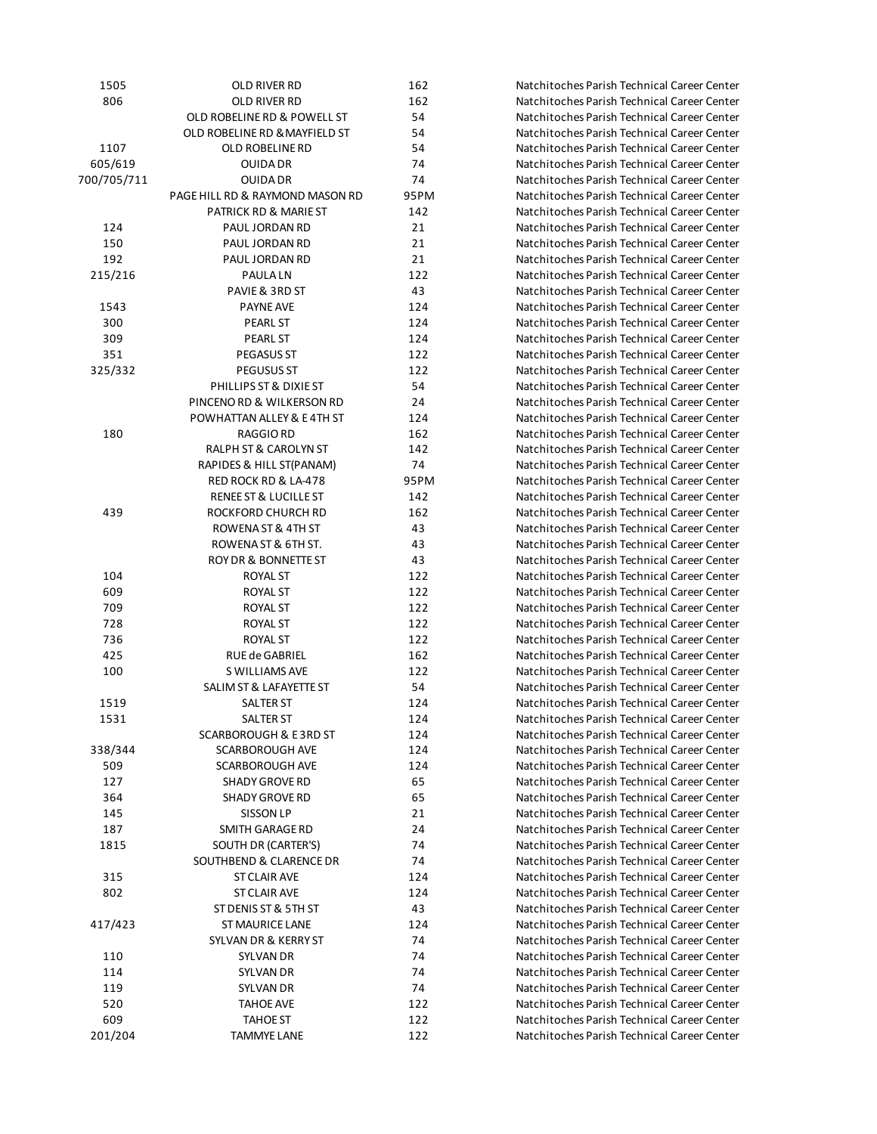| 1505        | OLD RIVER RD                       | 162  |
|-------------|------------------------------------|------|
| 806         | OLD RIVER RD                       |      |
|             | OLD ROBELINE RD & POWELL ST        | 54   |
|             | OLD ROBELINE RD & MAYFIELD ST      | 54   |
| 1107        | OLD ROBELINE RD                    | 54   |
| 605/619     | OUIDA DR                           | 74   |
| 700/705/711 | <b>OUIDA DR</b>                    | 74   |
|             | PAGE HILL RD & RAYMOND MASON RD    | 95PM |
|             | PATRICK RD & MARIE ST              | 142  |
| 124         | PAUL JORDAN RD                     | 21   |
| 150         | PAUL JORDAN RD                     | 21   |
| 192         | PAUL JORDAN RD                     | 21   |
| 215/216     | <b>PAULALN</b>                     | 122  |
|             | PAVIE & 3RD ST                     | 43   |
| 1543        | <b>PAYNE AVE</b>                   | 124  |
| 300         | PEARL ST                           | 124  |
| 309         | <b>PEARL ST</b>                    | 124  |
| 351         | PEGASUS ST                         | 122  |
| 325/332     | <b>PEGUSUS ST</b>                  | 122  |
|             | PHILLIPS ST & DIXIE ST             | 54   |
|             | PINCENO RD & WILKERSON RD          | 24   |
|             | POWHATTAN ALLEY & E4TH ST          | 124  |
| 180         | <b>RAGGIO RD</b>                   | 162  |
|             |                                    | 142  |
|             | RALPH ST & CAROLYN ST              |      |
|             | RAPIDES & HILL ST(PANAM)           | 74   |
|             | RED ROCK RD & LA-478               | 95PM |
|             | <b>RENEE ST &amp; LUCILLE ST</b>   | 142  |
| 439         | ROCKFORD CHURCH RD                 | 162  |
|             | ROWENA ST & 4TH ST                 | 43   |
|             | ROWENA ST & 6TH ST.                | 43   |
|             | ROY DR & BONNETTE ST               | 43   |
| 104         | <b>ROYAL ST</b>                    | 122  |
| 609         | <b>ROYAL ST</b>                    | 122  |
| 709         | ROYAL ST                           | 122  |
| 728         | <b>ROYAL ST</b>                    | 122  |
| 736         | <b>ROYAL ST</b>                    | 122  |
| 425         | RUE de GABRIEL                     | 162  |
| 100         | <b>S WILLIAMS AVE</b>              | 122  |
|             | SALIM ST & LAFAYETTE ST            | 54   |
| 1519        | <b>SALTER ST</b>                   | 124  |
| 1531        | SALTER ST                          | 124  |
|             | SCARBOROUGH & E3RD ST              | 124  |
| 338/344     | <b>SCARBOROUGH AVE</b>             | 124  |
| 509         | SCARBOROUGH AVE                    | 124  |
| 127         | <b>SHADY GROVE RD</b>              | 65   |
| 364         | <b>SHADY GROVE RD</b>              | 65   |
| 145         | SISSON LP                          | 21   |
| 187         | SMITH GARAGE RD                    | 24   |
| 1815        | SOUTH DR (CARTER'S)                | 74   |
|             | <b>SOUTHBEND &amp; CLARENCE DR</b> | 74   |
| 315         | ST CLAIR AVE                       | 124  |
| 802         | ST CLAIR AVE                       | 124  |
|             | ST DENIS ST & 5TH ST               | 43   |
| 417/423     | <b>ST MAURICE LANE</b>             | 124  |
|             | SYLVAN DR & KERRY ST               | 74   |
| 110         | SYLVAN DR                          | 74   |
| 114         | SYLVAN DR                          | 74   |
| 119         | SYLVAN DR                          | 74   |
| 520         | TAHOE AVE                          | 122  |
| 609         | TAHOE ST                           | 122  |
| 201/204     | <b>TAMMYE LANE</b>                 | 122  |

Natchitoches Parish Technical Career Center Natchitoches Parish Technical Career Center Natchitoches Parish Technical Career Center Natchitoches Parish Technical Career Center Natchitoches Parish Technical Career Center Natchitoches Parish Technical Career Center Natchitoches Parish Technical Career Center Natchitoches Parish Technical Career Center Natchitoches Parish Technical Career Center Natchitoches Parish Technical Career Center Natchitoches Parish Technical Career Center Natchitoches Parish Technical Career Center Natchitoches Parish Technical Career Center Natchitoches Parish Technical Career Center Natchitoches Parish Technical Career Center Natchitoches Parish Technical Career Center Natchitoches Parish Technical Career Center Natchitoches Parish Technical Career Center Natchitoches Parish Technical Career Center Natchitoches Parish Technical Career Center Natchitoches Parish Technical Career Center Natchitoches Parish Technical Career Center Natchitoches Parish Technical Career Center Natchitoches Parish Technical Career Center Natchitoches Parish Technical Career Center Natchitoches Parish Technical Career Center Natchitoches Parish Technical Career Center Natchitoches Parish Technical Career Center Natchitoches Parish Technical Career Center Natchitoches Parish Technical Career Center Natchitoches Parish Technical Career Center Natchitoches Parish Technical Career Center Natchitoches Parish Technical Career Center Natchitoches Parish Technical Career Center Natchitoches Parish Technical Career Center Natchitoches Parish Technical Career Center Natchitoches Parish Technical Career Center Natchitoches Parish Technical Career Center Natchitoches Parish Technical Career Center Natchitoches Parish Technical Career Center Natchitoches Parish Technical Career Center Natchitoches Parish Technical Career Center Natchitoches Parish Technical Career Center Natchitoches Parish Technical Career Center Natchitoches Parish Technical Career Center Natchitoches Parish Technical Career Center Natchitoches Parish Technical Career Center Natchitoches Parish Technical Career Center Natchitoches Parish Technical Career Center Natchitoches Parish Technical Career Center Natchitoches Parish Technical Career Center Natchitoches Parish Technical Career Center Natchitoches Parish Technical Career Center Natchitoches Parish Technical Career Center Natchitoches Parish Technical Career Center Natchitoches Parish Technical Career Center Natchitoches Parish Technical Career Center Natchitoches Parish Technical Career Center 520 TAHOE AVE 122 Natchitoches Parish Technical Career Center Natchitoches Parish Technical Career Center Natchitoches Parish Technical Career Center